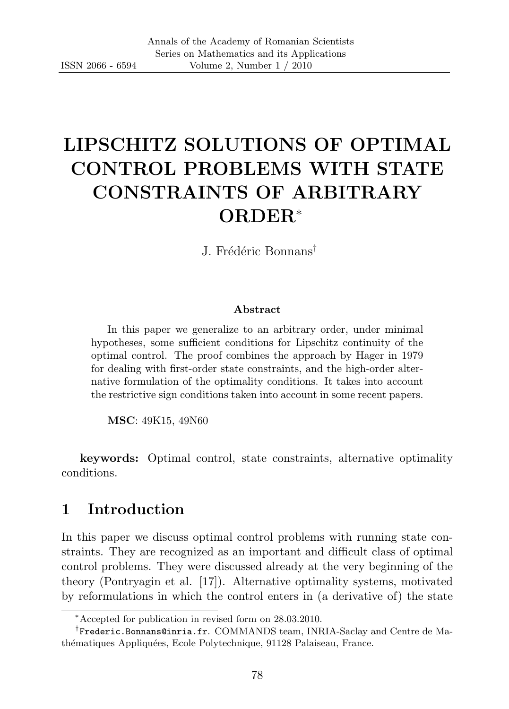# LIPSCHITZ SOLUTIONS OF OPTIMAL CONTROL PROBLEMS WITH STATE CONSTRAINTS OF ARBITRARY ORDER<sup>∗</sup>

J. Frédéric Bonnans<sup>†</sup>

#### Abstract

In this paper we generalize to an arbitrary order, under minimal hypotheses, some sufficient conditions for Lipschitz continuity of the optimal control. The proof combines the approach by Hager in 1979 for dealing with first-order state constraints, and the high-order alternative formulation of the optimality conditions. It takes into account the restrictive sign conditions taken into account in some recent papers.

MSC: 49K15, 49N60

keywords: Optimal control, state constraints, alternative optimality conditions.

# 1 Introduction

In this paper we discuss optimal control problems with running state constraints. They are recognized as an important and difficult class of optimal control problems. They were discussed already at the very beginning of the theory (Pontryagin et al. [17]). Alternative optimality systems, motivated by reformulations in which the control enters in (a derivative of) the state

<sup>∗</sup>Accepted for publication in revised form on 28.03.2010.

<sup>†</sup> Frederic.Bonnans@inria.fr. COMMANDS team, INRIA-Saclay and Centre de Mathématiques Appliquées, Ecole Polytechnique, 91128 Palaiseau, France.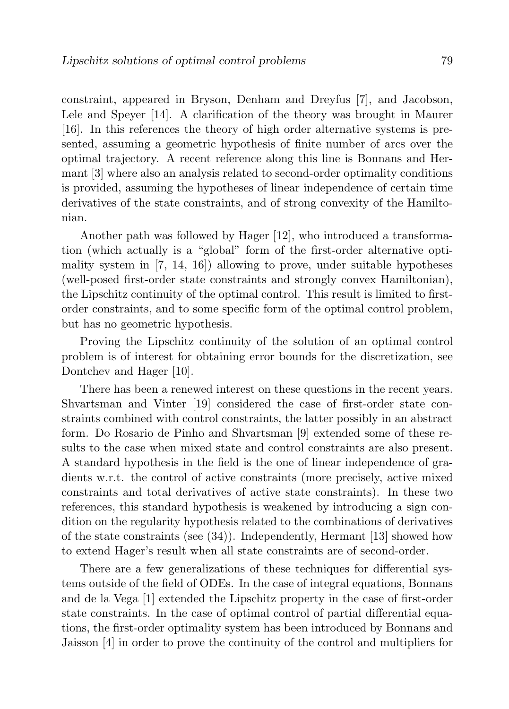constraint, appeared in Bryson, Denham and Dreyfus [7], and Jacobson, Lele and Speyer [14]. A clarification of the theory was brought in Maurer [16]. In this references the theory of high order alternative systems is presented, assuming a geometric hypothesis of finite number of arcs over the optimal trajectory. A recent reference along this line is Bonnans and Hermant [3] where also an analysis related to second-order optimality conditions is provided, assuming the hypotheses of linear independence of certain time derivatives of the state constraints, and of strong convexity of the Hamiltonian.

Another path was followed by Hager [12], who introduced a transformation (which actually is a "global" form of the first-order alternative optimality system in [7, 14, 16]) allowing to prove, under suitable hypotheses (well-posed first-order state constraints and strongly convex Hamiltonian), the Lipschitz continuity of the optimal control. This result is limited to firstorder constraints, and to some specific form of the optimal control problem, but has no geometric hypothesis.

Proving the Lipschitz continuity of the solution of an optimal control problem is of interest for obtaining error bounds for the discretization, see Dontchev and Hager [10].

There has been a renewed interest on these questions in the recent years. Shvartsman and Vinter [19] considered the case of first-order state constraints combined with control constraints, the latter possibly in an abstract form. Do Rosario de Pinho and Shvartsman [9] extended some of these results to the case when mixed state and control constraints are also present. A standard hypothesis in the field is the one of linear independence of gradients w.r.t. the control of active constraints (more precisely, active mixed constraints and total derivatives of active state constraints). In these two references, this standard hypothesis is weakened by introducing a sign condition on the regularity hypothesis related to the combinations of derivatives of the state constraints (see (34)). Independently, Hermant [13] showed how to extend Hager's result when all state constraints are of second-order.

There are a few generalizations of these techniques for differential systems outside of the field of ODEs. In the case of integral equations, Bonnans and de la Vega [1] extended the Lipschitz property in the case of first-order state constraints. In the case of optimal control of partial differential equations, the first-order optimality system has been introduced by Bonnans and Jaisson [4] in order to prove the continuity of the control and multipliers for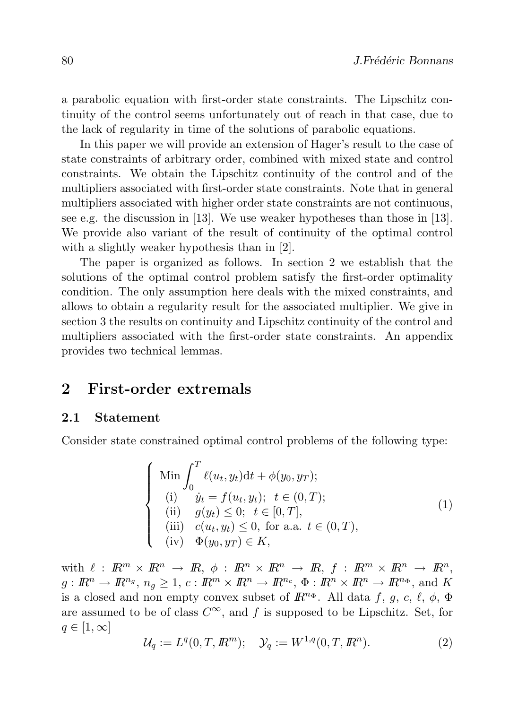a parabolic equation with first-order state constraints. The Lipschitz continuity of the control seems unfortunately out of reach in that case, due to the lack of regularity in time of the solutions of parabolic equations.

In this paper we will provide an extension of Hager's result to the case of state constraints of arbitrary order, combined with mixed state and control constraints. We obtain the Lipschitz continuity of the control and of the multipliers associated with first-order state constraints. Note that in general multipliers associated with higher order state constraints are not continuous, see e.g. the discussion in [13]. We use weaker hypotheses than those in [13]. We provide also variant of the result of continuity of the optimal control with a slightly weaker hypothesis than in [2].

The paper is organized as follows. In section 2 we establish that the solutions of the optimal control problem satisfy the first-order optimality condition. The only assumption here deals with the mixed constraints, and allows to obtain a regularity result for the associated multiplier. We give in section 3 the results on continuity and Lipschitz continuity of the control and multipliers associated with the first-order state constraints. An appendix provides two technical lemmas.

## 2 First-order extremals

#### 2.1 Statement

Consider state constrained optimal control problems of the following type:

$$
\begin{cases}\n\text{Min} \int_0^T \ell(u_t, y_t) dt + \phi(y_0, y_T); \\
\text{(i)} \quad \dot{y}_t = f(u_t, y_t); \quad t \in (0, T); \\
\text{(ii)} \quad g(y_t) \le 0; \quad t \in [0, T], \\
\text{(iii)} \quad c(u_t, y_t) \le 0, \text{ for a.a. } t \in (0, T), \\
\text{(iv)} \quad \Phi(y_0, y_T) \in K,\n\end{cases}
$$
\n(1)

with  $\ell : \mathbb{R}^m \times \mathbb{R}^n \to \mathbb{R}, \phi : \mathbb{R}^n \times \mathbb{R}^n \to \mathbb{R}, f : \mathbb{R}^m \times \mathbb{R}^n \to \mathbb{R}^n$ ,  $g: \mathbb{R}^n \to \mathbb{R}^{n_g}, n_g \geq 1, c: \mathbb{R}^m \times \mathbb{R}^n \to \mathbb{R}^{n_c}, \Phi: \mathbb{R}^n \times \mathbb{R}^n \to \mathbb{R}^{n_\Phi}, \text{ and } K$ is a closed and non empty convex subset of  $\mathbb{R}^{n_{\Phi}}$ . All data f, g, c,  $\ell$ ,  $\phi$ ,  $\Phi$ are assumed to be of class  $C^{\infty}$ , and f is supposed to be Lipschitz. Set, for  $q \in [1,\infty]$ 

$$
\mathcal{U}_q := L^q(0, T, \mathbb{R}^m); \quad \mathcal{Y}_q := W^{1,q}(0, T, \mathbb{R}^n).
$$
 (2)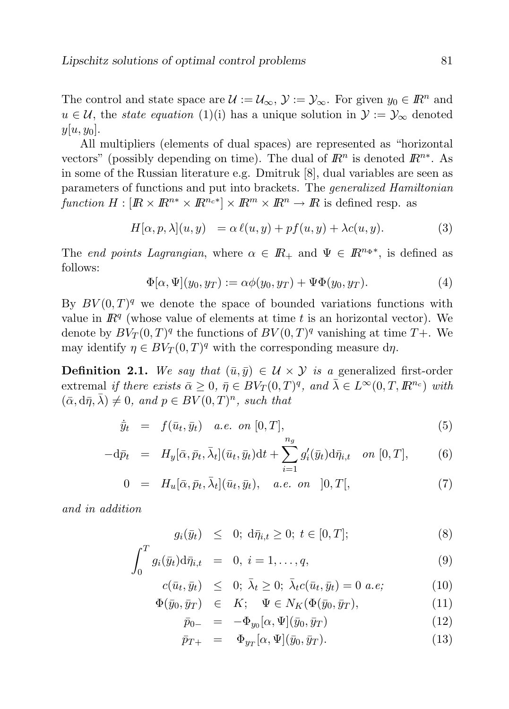The control and state space are  $\mathcal{U} := \mathcal{U}_{\infty}, \mathcal{Y} := \mathcal{Y}_{\infty}$ . For given  $y_0 \in \mathbb{R}^n$  and  $u \in \mathcal{U}$ , the *state equation* (1)(i) has a unique solution in  $\mathcal{Y} := \mathcal{Y}_{\infty}$  denoted  $y[u, y_0]$ .

All multipliers (elements of dual spaces) are represented as "horizontal vectors" (possibly depending on time). The dual of  $\mathbb{R}^n$  is denoted  $\mathbb{R}^{n*}$ . As in some of the Russian literature e.g. Dmitruk [8], dual variables are seen as parameters of functions and put into brackets. The generalized Hamiltonian function  $H: [I\!R \times I\!R^{n*} \times I\!R^{n} \times I\!R^m \times I\!R^n \to I\!R$  is defined resp. as

$$
H[\alpha, p, \lambda](u, y) = \alpha \ell(u, y) + pf(u, y) + \lambda c(u, y). \tag{3}
$$

The end points Lagrangian, where  $\alpha \in \mathbb{R}_+$  and  $\Psi \in \mathbb{R}^{n_{\Phi^*}}$ , is defined as follows:

$$
\Phi[\alpha, \Psi](y_0, y_T) := \alpha \phi(y_0, y_T) + \Psi \Phi(y_0, y_T). \tag{4}
$$

By  $BV(0,T)^q$  we denote the space of bounded variations functions with value in  $\mathbb{R}^q$  (whose value of elements at time t is an horizontal vector). We denote by  $BV_T(0,T)^q$  the functions of  $BV(0,T)^q$  vanishing at time  $T+$ . We may identify  $\eta \in BV_T(0,T)^q$  with the corresponding measure d $\eta$ .

**Definition 2.1.** We say that  $(\bar{u}, \bar{y}) \in \mathcal{U} \times \mathcal{Y}$  is a generalized first-order extremal if there exists  $\bar{\alpha} \geq 0$ ,  $\bar{\eta} \in BV_T(0,T)^q$ , and  $\bar{\lambda} \in L^{\infty}(0,T,\mathbb{R}^{n_c})$  with  $(\bar{\alpha}, d\bar{\eta}, \bar{\lambda}) \neq 0$ , and  $p \in BV(0, T)^n$ , such that

$$
\dot{\bar{y}}_t = f(\bar{u}_t, \bar{y}_t) \quad a.e. \quad on \ [0, T], \tag{5}
$$

$$
-\mathrm{d}\bar{p}_t = H_y[\bar{\alpha}, \bar{p}_t, \bar{\lambda}_t](\bar{u}_t, \bar{y}_t)\mathrm{d}t + \sum_{i=1}^g g'_i(\bar{y}_t)\mathrm{d}\bar{\eta}_{i,t} \quad on \ [0, T], \tag{6}
$$

$$
0 = H_u[\bar{\alpha}, \bar{p}_t, \bar{\lambda}_t](\bar{u}_t, \bar{y}_t), \quad a.e. \text{ on } ]0, T[, \tag{7}
$$

and in addition

$$
g_i(\bar{y}_t) \leq 0; d\bar{\eta}_{i,t} \geq 0; t \in [0,T];
$$
 (8)

$$
\int_0^T g_i(\bar{y}_t) d\bar{\eta}_{i,t} = 0, i = 1,\dots,q,
$$
\n(9)

$$
c(\bar{u}_t, \bar{y}_t) \leq 0; \ \bar{\lambda}_t \geq 0; \ \bar{\lambda}_t c(\bar{u}_t, \bar{y}_t) = 0 \ a.e; \tag{10}
$$

$$
\Phi(\bar{y}_0, \bar{y}_T) \in K; \quad \Psi \in N_K(\Phi(\bar{y}_0, \bar{y}_T)), \tag{11}
$$

$$
\bar{p}_{0-} = -\Phi_{y_0}[\alpha, \Psi](\bar{y}_0, \bar{y}_T) \tag{12}
$$

$$
\bar{p}_{T+} = \Phi_{y_T}[\alpha, \Psi](\bar{y}_0, \bar{y}_T). \tag{13}
$$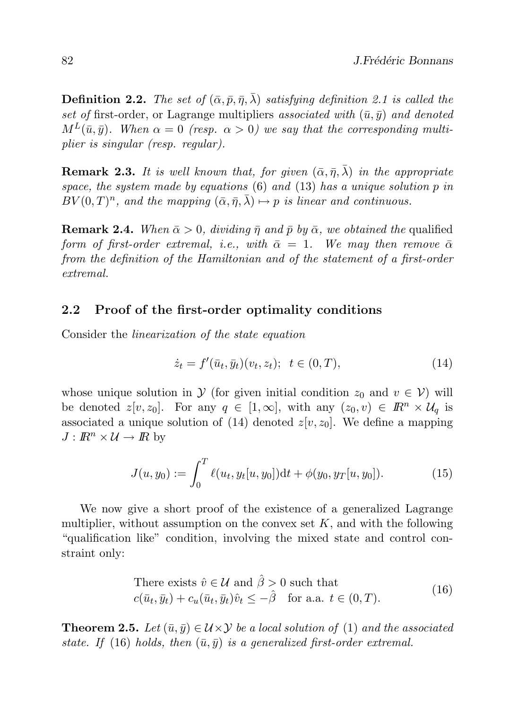**Definition 2.2.** The set of  $(\bar{\alpha}, \bar{p}, \bar{\eta}, \bar{\lambda})$  satisfying definition 2.1 is called the set of first-order, or Lagrange multipliers associated with  $(\bar{u}, \bar{y})$  and denoted  $M^L(\bar{u}, \bar{y})$ . When  $\alpha = 0$  (resp.  $\alpha > 0$ ) we say that the corresponding multiplier is singular (resp. regular).

**Remark 2.3.** It is well known that, for given  $(\bar{\alpha}, \bar{\eta}, \bar{\lambda})$  in the appropriate space, the system made by equations  $(6)$  and  $(13)$  has a unique solution p in  $BV(0,T)^n$ , and the mapping  $(\bar{\alpha}, \bar{\eta}, \bar{\lambda}) \mapsto p$  is linear and continuous.

**Remark 2.4.** When  $\bar{\alpha} > 0$ , dividing  $\bar{\eta}$  and  $\bar{p}$  by  $\bar{\alpha}$ , we obtained the qualified form of first-order extremal, i.e., with  $\bar{\alpha} = 1$ . We may then remove  $\bar{\alpha}$ from the definition of the Hamiltonian and of the statement of a first-order extremal.

#### 2.2 Proof of the first-order optimality conditions

Consider the linearization of the state equation

$$
\dot{z}_t = f'(\bar{u}_t, \bar{y}_t)(v_t, z_t); \ \ t \in (0, T), \tag{14}
$$

whose unique solution in  $\mathcal Y$  (for given initial condition  $z_0$  and  $v \in \mathcal V$ ) will be denoted  $z[v, z_0]$ . For any  $q \in [1, \infty]$ , with any  $(z_0, v) \in \mathbb{R}^n \times \mathcal{U}_q$  is associated a unique solution of (14) denoted  $z[v, z_0]$ . We define a mapping  $J: \mathbb{R}^n \times \mathcal{U} \to \mathbb{R}$  by

$$
J(u, y_0) := \int_0^T \ell(u_t, y_t[u, y_0]) dt + \phi(y_0, y_T[u, y_0]).
$$
 (15)

We now give a short proof of the existence of a generalized Lagrange multiplier, without assumption on the convex set  $K$ , and with the following "qualification like" condition, involving the mixed state and control constraint only:

There exists 
$$
\hat{v} \in \mathcal{U}
$$
 and  $\hat{\beta} > 0$  such that  
\n $c(\bar{u}_t, \bar{y}_t) + c_u(\bar{u}_t, \bar{y}_t)\hat{v}_t \leq -\hat{\beta}$  for a.a.  $t \in (0, T)$ . (16)

**Theorem 2.5.** Let  $(\bar{u}, \bar{y}) \in \mathcal{U} \times \mathcal{Y}$  be a local solution of (1) and the associated state. If (16) holds, then  $(\bar{u}, \bar{y})$  is a generalized first-order extremal.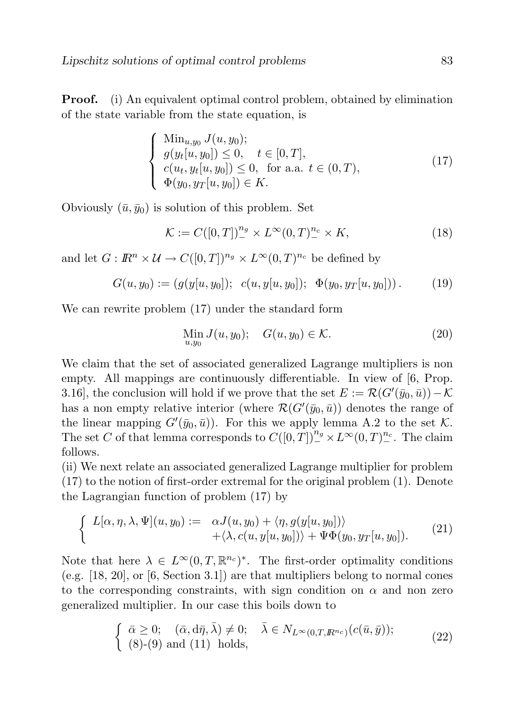**Proof.** (i) An equivalent optimal control problem, obtained by elimination of the state variable from the state equation, is

$$
\begin{cases}\n\min_{u,y_0} J(u, y_0); \\
g(y_t[u, y_0]) \le 0, \quad t \in [0, T], \\
c(u_t, y_t[u, y_0]) \le 0, \text{ for a.a. } t \in (0, T), \\
\Phi(y_0, y_T[u, y_0]) \in K.\n\end{cases}
$$
\n(17)

Obviously  $(\bar{u}, \bar{y}_0)$  is solution of this problem. Set

$$
\mathcal{K} := C([0,T])_{-}^{n_g} \times L^{\infty}(0,T)_{-}^{n_c} \times K,
$$
\n(18)

and let  $G: \mathbb{R}^n \times \mathcal{U} \to C([0,T])^{n_g} \times L^{\infty}(0,T)^{n_c}$  be defined by

$$
G(u, y_0) := (g(y[u, y_0]); \ c(u, y[u, y_0]); \ \ \Phi(y_0, y_T[u, y_0])) \,. \tag{19}
$$

We can rewrite problem (17) under the standard form

$$
\lim_{u,y_0} J(u,y_0); \quad G(u,y_0) \in \mathcal{K}.\tag{20}
$$

We claim that the set of associated generalized Lagrange multipliers is non empty. All mappings are continuously differentiable. In view of [6, Prop. 3.16], the conclusion will hold if we prove that the set  $E := \mathcal{R}(G'(\bar{y}_0, \bar{u})) - \mathcal{K}$ has a non empty relative interior (where  $\mathcal{R}(G'(\bar{y}_0, \bar{u}))$  denotes the range of the linear mapping  $G'(\bar{y}_0, \bar{u})$ . For this we apply lemma A.2 to the set K. The set C of that lemma corresponds to  $C([0,T])^{n_g} \times L^{\infty}(0,T)^{n_c}$ . The claim follows.

(ii) We next relate an associated generalized Lagrange multiplier for problem (17) to the notion of first-order extremal for the original problem (1). Denote the Lagrangian function of problem (17) by

$$
\begin{cases}\nL[\alpha, \eta, \lambda, \Psi](u, y_0) := \alpha J(u, y_0) + \langle \eta, g(y[u, y_0]) \rangle \\
+ \langle \lambda, c(u, y[u, y_0]) \rangle + \Psi \Phi(y_0, y_T[u, y_0]).\n\end{cases} (21)
$$

Note that here  $\lambda \in L^{\infty}(0,T,\mathbb{R}^{n_c})^*$ . The first-order optimality conditions (e.g. [18, 20], or [6, Section 3.1]) are that multipliers belong to normal cones to the corresponding constraints, with sign condition on  $\alpha$  and non zero generalized multiplier. In our case this boils down to

$$
\begin{cases} \bar{\alpha} \geq 0; \quad (\bar{\alpha}, d\bar{\eta}, \bar{\lambda}) \neq 0; \quad \bar{\lambda} \in N_{L^{\infty}(0,T,R^{n_c})}(c(\bar{u}, \bar{y})); \\ (8)-(9) \text{ and } (11) \text{ holds}, \end{cases}
$$
 (22)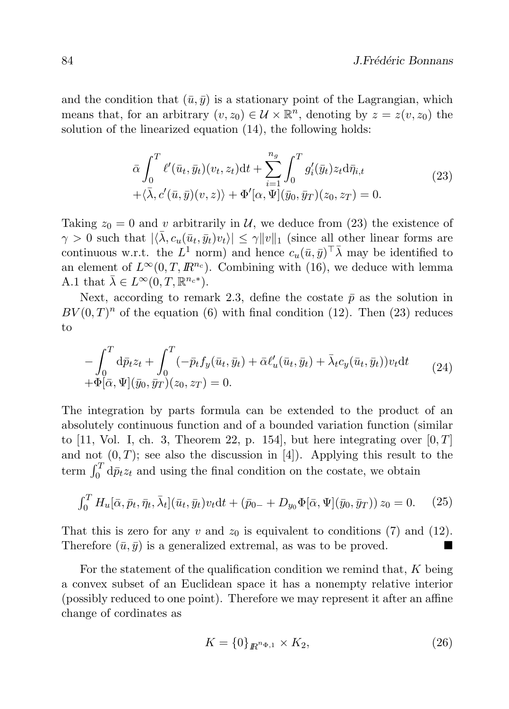and the condition that  $(\bar{u}, \bar{y})$  is a stationary point of the Lagrangian, which means that, for an arbitrary  $(v, z_0) \in \mathcal{U} \times \mathbb{R}^n$ , denoting by  $z = z(v, z_0)$  the solution of the linearized equation (14), the following holds:

$$
\bar{\alpha} \int_0^T \ell'(\bar{u}_t, \bar{y}_t)(v_t, z_t) dt + \sum_{i=1}^{n_g} \int_0^T g'_i(\bar{y}_t) z_t d\bar{\eta}_{i,t} +\langle \bar{\lambda}, c'(\bar{u}, \bar{y})(v, z) \rangle + \Phi'[\alpha, \Psi](\bar{y}_0, \bar{y}_T)(z_0, z_T) = 0.
$$
\n(23)

Taking  $z_0 = 0$  and v arbitrarily in U, we deduce from (23) the existence of  $\gamma > 0$  such that  $|\langle \overline{\lambda}, c_u(\overline{u}_t, \overline{y}_t)v_t \rangle| \leq \gamma ||v||_1$  (since all other linear forms are continuous w.r.t. the  $L^1$  norm) and hence  $c_u(\bar{u}, \bar{y})^\top \bar{\lambda}$  may be identified to an element of  $L^{\infty}(0,T,\mathbb{R}^{n_c})$ . Combining with (16), we deduce with lemma A.1 that  $\bar{\lambda} \in L^{\infty}(0,T,\mathbb{R}^{n_c*})$ .

Next, according to remark 2.3, define the costate  $\bar{p}$  as the solution in  $BV(0,T)^n$  of the equation (6) with final condition (12). Then (23) reduces to

$$
-\int_0^T d\bar{p}_t z_t + \int_0^T (-\bar{p}_t f_y(\bar{u}_t, \bar{y}_t) + \bar{\alpha} \ell'_u(\bar{u}_t, \bar{y}_t) + \bar{\lambda}_t c_y(\bar{u}_t, \bar{y}_t)) v_t dt + \Phi[\bar{\alpha}, \Psi](\bar{y}_0, \bar{y}_T)(z_0, z_T) = 0.
$$
\n(24)

The integration by parts formula can be extended to the product of an absolutely continuous function and of a bounded variation function (similar to [11, Vol. I, ch. 3, Theorem 22, p. 154], but here integrating over  $[0, T]$ and not  $(0, T)$ ; see also the discussion in [4]). Applying this result to the term  $\int_0^T d\bar{p}_t z_t$  and using the final condition on the costate, we obtain

$$
\int_0^T H_u[\bar{\alpha}, \bar{p}_t, \bar{\eta}_t, \bar{\lambda}_t](\bar{u}_t, \bar{y}_t) v_t dt + (\bar{p}_{0-} + D_{y_0} \Phi[\bar{\alpha}, \Psi](\bar{y}_0, \bar{y}_T)) z_0 = 0. \quad (25)
$$

That this is zero for any v and  $z_0$  is equivalent to conditions (7) and (12). Therefore  $(\bar{u}, \bar{y})$  is a generalized extremal, as was to be proved.

For the statement of the qualification condition we remind that, K being a convex subset of an Euclidean space it has a nonempty relative interior (possibly reduced to one point). Therefore we may represent it after an affine change of cordinates as

$$
K = \{0\}_{R^{n_{\Phi,1}}} \times K_2,\tag{26}
$$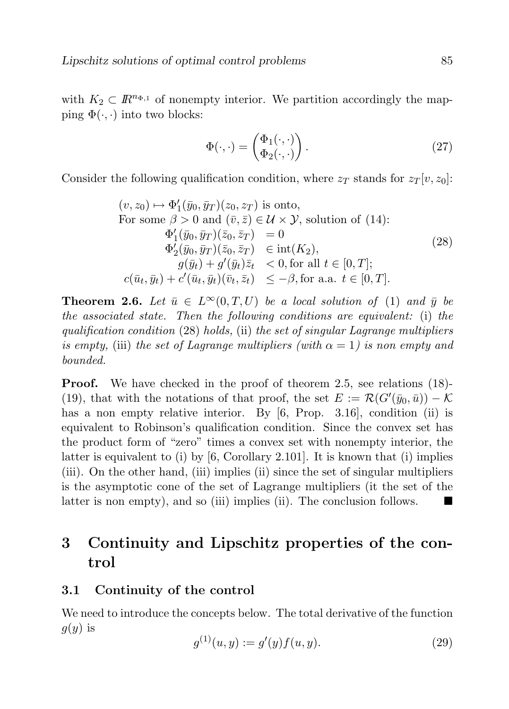with  $K_2 \subset \mathbb{R}^{n_{\Phi,1}}$  of nonempty interior. We partition accordingly the mapping  $\Phi(\cdot, \cdot)$  into two blocks:

$$
\Phi(\cdot, \cdot) = \begin{pmatrix} \Phi_1(\cdot, \cdot) \\ \Phi_2(\cdot, \cdot) \end{pmatrix} . \tag{27}
$$

Consider the following qualification condition, where  $z_T$  stands for  $z_T[v, z_0]$ :

$$
(v, z_0) \mapsto \Phi'_1(\bar{y}_0, \bar{y}_T)(z_0, z_T) \text{ is onto,}
$$
  
For some  $\beta > 0$  and  $(\bar{v}, \bar{z}) \in \mathcal{U} \times \mathcal{Y}$ , solution of (14):  

$$
\Phi'_1(\bar{y}_0, \bar{y}_T)(\bar{z}_0, \bar{z}_T) = 0
$$

$$
\Phi'_2(\bar{y}_0, \bar{y}_T)(\bar{z}_0, \bar{z}_T) \in \text{int}(K_2),
$$

$$
g(\bar{y}_t) + g'(\bar{y}_t)\bar{z}_t < 0, \text{for all } t \in [0, T];
$$

$$
c(\bar{u}_t, \bar{y}_t) + c'(\bar{u}_t, \bar{y}_t)(\bar{v}_t, \bar{z}_t) \leq -\beta, \text{for a.a. } t \in [0, T].
$$
 (28)

**Theorem 2.6.** Let  $\bar{u} \in L^{\infty}(0,T,U)$  be a local solution of (1) and  $\bar{u}$  be the associated state. Then the following conditions are equivalent: (i) the qualification condition (28) holds, (ii) the set of singular Lagrange multipliers is empty, (iii) the set of Lagrange multipliers (with  $\alpha = 1$ ) is non empty and bounded.

**Proof.** We have checked in the proof of theorem 2.5, see relations (18)-(19), that with the notations of that proof, the set  $E := \mathcal{R}(G'(\bar{y}_0, \bar{u})) - \mathcal{K}$ has a non empty relative interior. By [6, Prop. 3.16], condition (ii) is equivalent to Robinson's qualification condition. Since the convex set has the product form of "zero" times a convex set with nonempty interior, the latter is equivalent to (i) by  $[6, Corollary 2.101]$ . It is known that (i) implies (iii). On the other hand, (iii) implies (ii) since the set of singular multipliers is the asymptotic cone of the set of Lagrange multipliers (it the set of the latter is non empty), and so (iii) implies (ii). The conclusion follows.

# 3 Continuity and Lipschitz properties of the control

#### 3.1 Continuity of the control

We need to introduce the concepts below. The total derivative of the function  $g(y)$  is

$$
g^{(1)}(u, y) := g'(y)f(u, y).
$$
\n(29)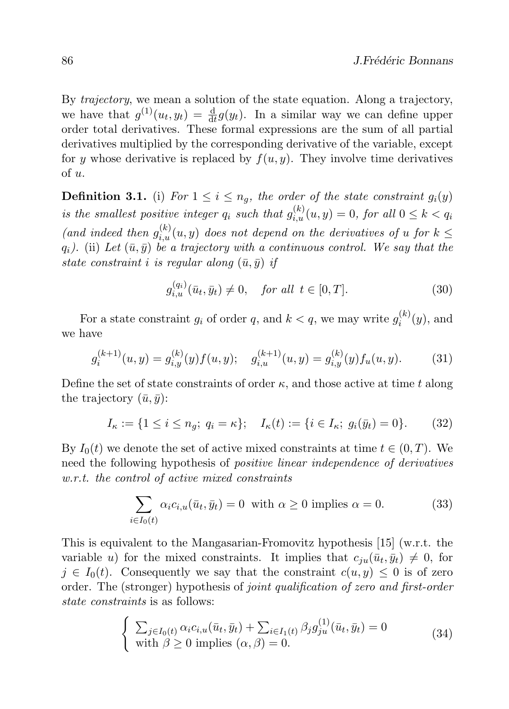By trajectory, we mean a solution of the state equation. Along a trajectory, we have that  $g^{(1)}(u_t, y_t) = \frac{d}{dt} g(y_t)$ . In a similar way we can define upper order total derivatives. These formal expressions are the sum of all partial derivatives multiplied by the corresponding derivative of the variable, except for y whose derivative is replaced by  $f(u, y)$ . They involve time derivatives of u.

**Definition 3.1.** (i) For  $1 \leq i \leq n_g$ , the order of the state constraint  $g_i(y)$ is the smallest positive integer  $q_i$  such that  $g_{i,u}^{(k)}(u, y) = 0$ , for all  $0 \le k < q_i$ (and indeed then  $g_{i,u}^{(k)}(u, y)$  does not depend on the derivatives of u for  $k \leq$  $q_i$ ). (ii) Let  $(\bar{u}, \bar{y})$  be a trajectory with a continuous control. We say that the state constraint *i* is regular along  $(\bar{u}, \bar{y})$  if

$$
g_{i,u}^{(q_i)}(\bar{u}_t, \bar{y}_t) \neq 0, \quad \text{for all } t \in [0, T]. \tag{30}
$$

For a state constraint  $g_i$  of order q, and  $k < q$ , we may write  $g_i^{(k)}$  $a_i^{(\kappa)}(y)$ , and we have

$$
g_i^{(k+1)}(u,y) = g_{i,y}^{(k)}(y)f(u,y); \quad g_{i,u}^{(k+1)}(u,y) = g_{i,y}^{(k)}(y)f_u(u,y). \tag{31}
$$

Define the set of state constraints of order  $\kappa$ , and those active at time t along the trajectory  $(\bar{u}, \bar{y})$ :

$$
I_{\kappa} := \{ 1 \le i \le n_g; \ q_i = \kappa \}; \quad I_{\kappa}(t) := \{ i \in I_{\kappa}; \ g_i(\bar{y}_t) = 0 \}. \tag{32}
$$

By  $I_0(t)$  we denote the set of active mixed constraints at time  $t \in (0, T)$ . We need the following hypothesis of positive linear independence of derivatives w.r.t. the control of active mixed constraints

$$
\sum_{i \in I_0(t)} \alpha_i c_{i,u}(\bar{u}_t, \bar{y}_t) = 0 \text{ with } \alpha \ge 0 \text{ implies } \alpha = 0.
$$
 (33)

This is equivalent to the Mangasarian-Fromovitz hypothesis [15] (w.r.t. the variable u) for the mixed constraints. It implies that  $c_{ju}(\bar{u}_t, \bar{y}_t) \neq 0$ , for  $j \in I_0(t)$ . Consequently we say that the constraint  $c(u, y) \leq 0$  is of zero order. The (stronger) hypothesis of joint qualification of zero and first-order state constraints is as follows:

$$
\begin{cases}\n\sum_{j \in I_0(t)} \alpha_i c_{i,u}(\bar{u}_t, \bar{y}_t) + \sum_{i \in I_1(t)} \beta_j g_{ju}^{(1)}(\bar{u}_t, \bar{y}_t) = 0 \\
\text{with } \beta \ge 0 \text{ implies } (\alpha, \beta) = 0.\n\end{cases} \tag{34}
$$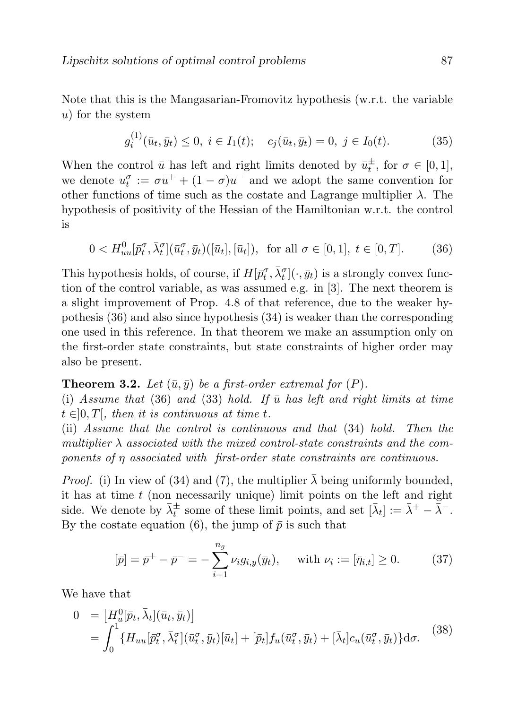Note that this is the Mangasarian-Fromovitz hypothesis (w.r.t. the variable u) for the system

$$
g_i^{(1)}(\bar{u}_t, \bar{y}_t) \le 0, \ i \in I_1(t); \quad c_j(\bar{u}_t, \bar{y}_t) = 0, \ j \in I_0(t). \tag{35}
$$

When the control  $\bar{u}$  has left and right limits denoted by  $\bar{u}_t^{\pm}$ , for  $\sigma \in [0,1]$ , we denote  $\bar{u}_t^{\sigma} := \sigma \bar{u}^+ + (1 - \sigma) \bar{u}^-$  and we adopt the same convention for other functions of time such as the costate and Lagrange multiplier  $\lambda$ . The hypothesis of positivity of the Hessian of the Hamiltonian w.r.t. the control is

$$
0 < H_{uu}^0[\bar{p}_t^{\sigma}, \bar{\lambda}_t^{\sigma}](\bar{u}_t^{\sigma}, \bar{y}_t)([\bar{u}_t], [\bar{u}_t]), \text{ for all } \sigma \in [0, 1], t \in [0, T].
$$
 (36)

This hypothesis holds, of course, if  $H[p_t^{\sigma}, \bar{\lambda}_t^{\sigma}] (\cdot, \bar{y}_t)$  is a strongly convex function of the control variable, as was assumed e.g. in [3]. The next theorem is a slight improvement of Prop. 4.8 of that reference, due to the weaker hypothesis (36) and also since hypothesis (34) is weaker than the corresponding one used in this reference. In that theorem we make an assumption only on the first-order state constraints, but state constraints of higher order may also be present.

#### **Theorem 3.2.** Let  $(\bar{u}, \bar{y})$  be a first-order extremal for  $(P)$ .

(i) Assume that (36) and (33) hold. If  $\bar{u}$  has left and right limits at time  $t \in ]0, T[$ , then it is continuous at time t.

(ii) Assume that the control is continuous and that (34) hold. Then the multiplier  $\lambda$  associated with the mixed control-state constraints and the components of  $\eta$  associated with first-order state constraints are continuous.

*Proof.* (i) In view of (34) and (7), the multiplier  $\lambda$  being uniformly bounded, it has at time  $t$  (non necessarily unique) limit points on the left and right side. We denote by  $\bar{\lambda}_t^{\pm}$  some of these limit points, and set  $[\bar{\lambda}_t] := \bar{\lambda}^+ - \bar{\bar{\lambda}}^-$ . By the costate equation (6), the jump of  $\bar{p}$  is such that

$$
[\bar{p}] = \bar{p}^+ - \bar{p}^- = -\sum_{i=1}^{n_g} \nu_i g_{i,y}(\bar{y}_t), \quad \text{with } \nu_i := [\bar{\eta}_{i,t}] \ge 0.
$$
 (37)

We have that

$$
0 = [H_u^0[\bar{p}_t, \bar{\lambda}_t](\bar{u}_t, \bar{y}_t)]
$$
  
= 
$$
\int_0^1 \{H_{uu}[\bar{p}_t^{\sigma}, \bar{\lambda}_t^{\sigma}](\bar{u}_t^{\sigma}, \bar{y}_t)[\bar{u}_t] + [\bar{p}_t]f_u(\bar{u}_t^{\sigma}, \bar{y}_t) + [\bar{\lambda}_t]c_u(\bar{u}_t^{\sigma}, \bar{y}_t)\}d\sigma.
$$
 (38)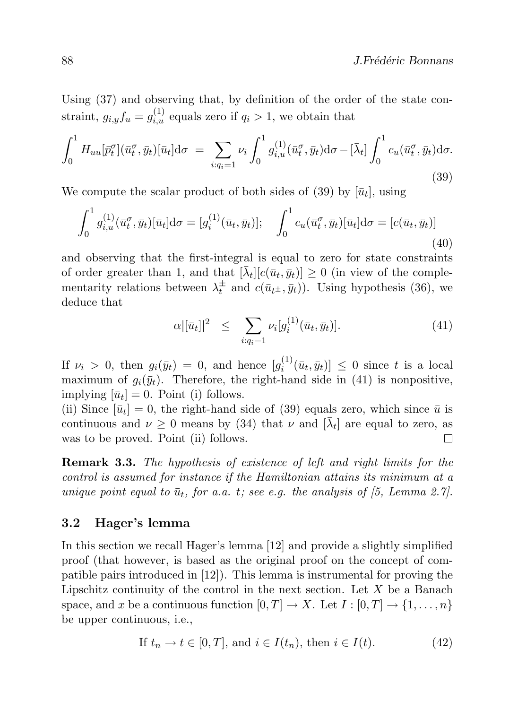Using (37) and observing that, by definition of the order of the state constraint,  $g_{i,y} f_u = g_{i,u}^{(1)}$  equals zero if  $q_i > 1$ , we obtain that

$$
\int_0^1 H_{uu}[\bar{p}_t^{\sigma}](\bar{u}_t^{\sigma}, \bar{y}_t)[\bar{u}_t] d\sigma = \sum_{i:q_i=1} \nu_i \int_0^1 g_{i,u}^{(1)}(\bar{u}_t^{\sigma}, \bar{y}_t) d\sigma - [\bar{\lambda}_t] \int_0^1 c_u(\bar{u}_t^{\sigma}, \bar{y}_t) d\sigma.
$$
\n(39)

We compute the scalar product of both sides of (39) by  $[\bar{u}_t]$ , using

$$
\int_0^1 g_{i,u}^{(1)}(\bar{u}_t^{\sigma}, \bar{y}_t) [\bar{u}_t] d\sigma = [g_i^{(1)}(\bar{u}_t, \bar{y}_t)]; \quad \int_0^1 c_u(\bar{u}_t^{\sigma}, \bar{y}_t) [\bar{u}_t] d\sigma = [c(\bar{u}_t, \bar{y}_t)] \tag{40}
$$

and observing that the first-integral is equal to zero for state constraints of order greater than 1, and that  $[\bar{\lambda}_t][c(\bar{u}_t, \bar{y}_t)] \geq 0$  (in view of the complementarity relations between  $\bar{\lambda}_t^{\pm}$  and  $c(\bar{u}_{t^{\pm}}, \bar{y}_t)$ ). Using hypothesis (36), we deduce that

$$
\alpha |[\bar{u}_t]|^2 \leq \sum_{i:q_i=1} \nu_i [g_i^{(1)}(\bar{u}_t, \bar{y}_t)]. \tag{41}
$$

If  $\nu_i > 0$ , then  $g_i(\bar{y}_t) = 0$ , and hence  $[g_i^{(1)}]$  $[\bar{u}_t, \bar{y}_t] \leq 0$  since t is a local maximum of  $g_i(\bar{y}_t)$ . Therefore, the right-hand side in (41) is nonpositive, implying  $[\bar{u}_t] = 0$ . Point (i) follows.

(ii) Since  $[\bar{u}_t] = 0$ , the right-hand side of (39) equals zero, which since  $\bar{u}$  is continuous and  $\nu \geq 0$  means by (34) that  $\nu$  and  $[\bar{\lambda}_t]$  are equal to zero, as was to be proved. Point (ii) follows.  $\Box$ 

Remark 3.3. The hypothesis of existence of left and right limits for the control is assumed for instance if the Hamiltonian attains its minimum at a unique point equal to  $\bar{u}_t$ , for a.a. t; see e.g. the analysis of [5, Lemma 2.7].

#### 3.2 Hager's lemma

In this section we recall Hager's lemma [12] and provide a slightly simplified proof (that however, is based as the original proof on the concept of compatible pairs introduced in [12]). This lemma is instrumental for proving the Lipschitz continuity of the control in the next section. Let  $X$  be a Banach space, and x be a continuous function  $[0, T] \to X$ . Let  $I : [0, T] \to \{1, \ldots, n\}$ be upper continuous, i.e.,

If 
$$
t_n \to t \in [0, T]
$$
, and  $i \in I(t_n)$ , then  $i \in I(t)$ . (42)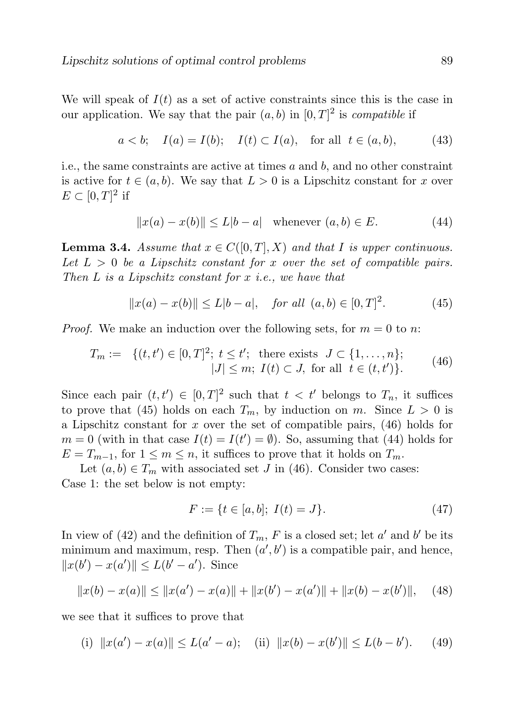We will speak of  $I(t)$  as a set of active constraints since this is the case in our application. We say that the pair  $(a, b)$  in  $[0, T]^2$  is *compatible* if

$$
a < b;
$$
  $I(a) = I(b);$   $I(t) \subset I(a),$  for all  $t \in (a, b),$  (43)

i.e., the same constraints are active at times  $a$  and  $b$ , and no other constraint is active for  $t \in (a, b)$ . We say that  $L > 0$  is a Lipschitz constant for x over  $E \subset [0,T]^2$  if

$$
||x(a) - x(b)|| \le L|b - a| \quad \text{whenever} \ (a, b) \in E. \tag{44}
$$

**Lemma 3.4.** Assume that  $x \in C([0, T], X)$  and that I is upper continuous. Let  $L > 0$  be a Lipschitz constant for x over the set of compatible pairs. Then  $L$  is a Lipschitz constant for  $x$  i.e., we have that

$$
||x(a) - x(b)|| \le L|b - a|, \quad \text{for all } (a, b) \in [0, T]^2. \tag{45}
$$

*Proof.* We make an induction over the following sets, for  $m = 0$  to n:

$$
T_m := \{(t, t') \in [0, T]^2; \ t \le t'; \text{ there exists } J \subset \{1, ..., n\};
$$
  

$$
|J| \le m; \ I(t) \subset J, \text{ for all } t \in (t, t')\}.
$$
 (46)

Since each pair  $(t, t') \in [0, T]^2$  such that  $t < t'$  belongs to  $T_n$ , it suffices to prove that (45) holds on each  $T_m$ , by induction on m. Since  $L > 0$  is a Lipschitz constant for x over the set of compatible pairs,  $(46)$  holds for  $m = 0$  (with in that case  $I(t) = I(t') = \emptyset$ ). So, assuming that (44) holds for  $E = T_{m-1}$ , for  $1 \le m \le n$ , it suffices to prove that it holds on  $T_m$ .

Let  $(a, b) \in T_m$  with associated set J in (46). Consider two cases: Case 1: the set below is not empty:

$$
F := \{ t \in [a, b]; \ I(t) = J \}. \tag{47}
$$

In view of (42) and the definition of  $T_m$ , F is a closed set; let a' and b' be its minimum and maximum, resp. Then  $(a', b')$  is a compatible pair, and hence,  $||x(b') - x(a')|| \leq L(b' - a')$ . Since

$$
||x(b) - x(a)|| \le ||x(a') - x(a)|| + ||x(b') - x(a')|| + ||x(b) - x(b')||, \quad (48)
$$

we see that it suffices to prove that

(i)  $||x(a') - x(a)|| \le L(a' - a);$  (ii)  $||x(b) - x(b')|| \le L(b - b')$  $(49)$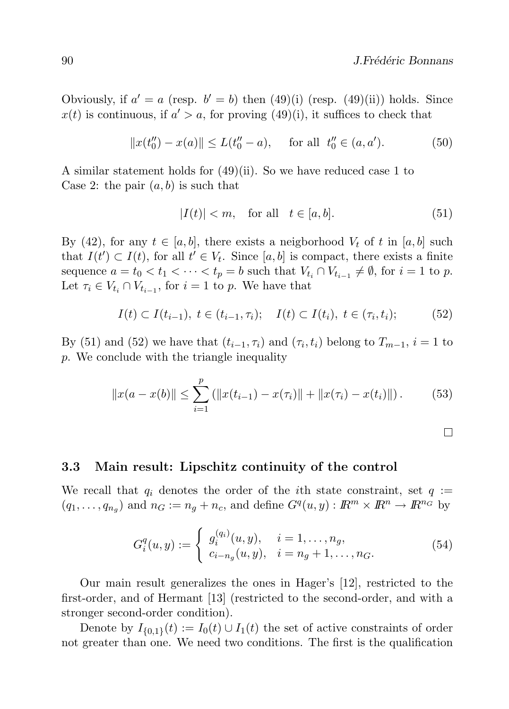Obviously, if  $a' = a$  (resp.  $b' = b$ ) then (49)(i) (resp. (49)(ii)) holds. Since  $x(t)$  is continuous, if  $a' > a$ , for proving (49)(i), it suffices to check that

$$
||x(t''_0) - x(a)|| \le L(t''_0 - a), \quad \text{for all } t''_0 \in (a, a'). \tag{50}
$$

A similar statement holds for (49)(ii). So we have reduced case 1 to Case 2: the pair  $(a, b)$  is such that

$$
|I(t)| < m, \quad \text{for all} \quad t \in [a, b]. \tag{51}
$$

By (42), for any  $t \in [a, b]$ , there exists a neigborhood  $V_t$  of t in  $[a, b]$  such that  $I(t') \subset I(t)$ , for all  $t' \in V_t$ . Since [a, b] is compact, there exists a finite sequence  $a = t_0 < t_1 < \cdots < t_p = b$  such that  $V_{t_i} \cap V_{t_{i-1}} \neq \emptyset$ , for  $i = 1$  to p. Let  $\tau_i \in V_{t_i} \cap V_{t_{i-1}}$ , for  $i = 1$  to p. We have that

$$
I(t) \subset I(t_{i-1}), \ t \in (t_{i-1}, \tau_i); \quad I(t) \subset I(t_i), \ t \in (\tau_i, t_i); \tag{52}
$$

By (51) and (52) we have that  $(t_{i-1}, \tau_i)$  and  $(\tau_i, t_i)$  belong to  $T_{m-1}$ ,  $i = 1$  to p. We conclude with the triangle inequality

$$
||x(a - x(b)|| \le \sum_{i=1}^{p} (||x(t_{i-1}) - x(\tau_i)|| + ||x(\tau_i) - x(t_i)||). \tag{53}
$$

 $\Box$ 

#### 3.3 Main result: Lipschitz continuity of the control

We recall that  $q_i$  denotes the order of the *i*th state constraint, set  $q :=$  $(q_1,\ldots,q_{n_g})$  and  $n_G := n_g + n_c$ , and define  $G^q(u,y) : \mathbb{R}^m \times \mathbb{R}^n \to \mathbb{R}^{n_G}$  by

$$
G_i^q(u, y) := \begin{cases} g_i^{(q_i)}(u, y), & i = 1, \dots, n_g, \\ c_{i - n_g}(u, y), & i = n_g + 1, \dots, n_G. \end{cases}
$$
(54)

Our main result generalizes the ones in Hager's [12], restricted to the first-order, and of Hermant [13] (restricted to the second-order, and with a stronger second-order condition).

Denote by  $I_{\{0,1\}}(t) := I_0(t) \cup I_1(t)$  the set of active constraints of order not greater than one. We need two conditions. The first is the qualification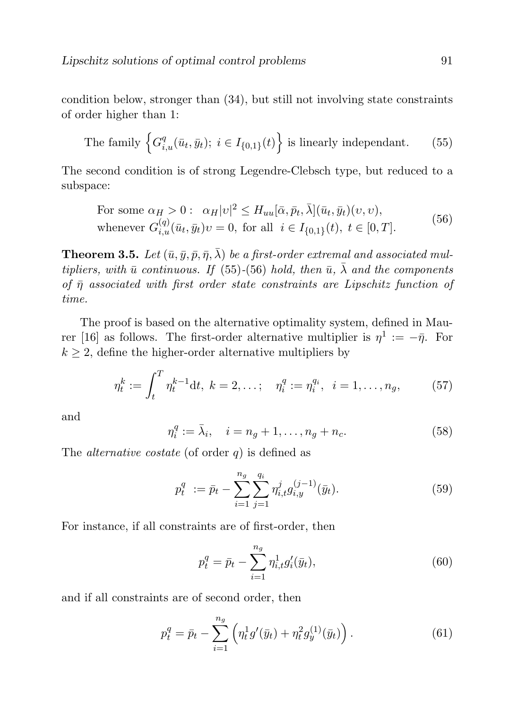condition below, stronger than (34), but still not involving state constraints of order higher than 1:

The family 
$$
\left\{ G_{i,u}^q(\bar{u}_t, \bar{y}_t); i \in I_{\{0,1\}}(t) \right\}
$$
 is linearly independent. (55)

The second condition is of strong Legendre-Clebsch type, but reduced to a subspace:

For some 
$$
\alpha_H > 0
$$
:  $\alpha_H |v|^2 \le H_{uu}[\bar{\alpha}, \bar{p}_t, \bar{\lambda}](\bar{u}_t, \bar{y}_t)(v, v),$   
whenever  $G_{i,u}^{(q)}(\bar{u}_t, \bar{y}_t)v = 0$ , for all  $i \in I_{\{0,1\}}(t), t \in [0, T].$  (56)

**Theorem 3.5.** Let  $(\bar{u}, \bar{y}, \bar{p}, \bar{\eta}, \bar{\lambda})$  be a first-order extremal and associated multipliers, with  $\bar{u}$  continuous. If (55)-(56) hold, then  $\bar{u}$ ,  $\bar{\lambda}$  and the components of  $\bar{\eta}$  associated with first order state constraints are Lipschitz function of time.

The proof is based on the alternative optimality system, defined in Maurer [16] as follows. The first-order alternative multiplier is  $\eta^1 := -\bar{\eta}$ . For  $k \geq 2$ , define the higher-order alternative multipliers by

$$
\eta_t^k := \int_t^T \eta_t^{k-1} dt, \ k = 2, \dots; \quad \eta_i^q := \eta_i^{q_i}, \ i = 1, \dots, n_g, \tag{57}
$$

and

$$
\eta_i^q := \bar{\lambda}_i, \quad i = n_g + 1, \dots, n_g + n_c. \tag{58}
$$

The *alternative costate* (of order  $q$ ) is defined as

$$
p_t^q := \bar{p}_t - \sum_{i=1}^{n_g} \sum_{j=1}^{q_i} \eta_{i,t}^j g_{i,y}^{(j-1)}(\bar{y}_t).
$$
 (59)

For instance, if all constraints are of first-order, then

$$
p_t^q = \bar{p}_t - \sum_{i=1}^{n_g} \eta_{i,t}^1 g_i'(\bar{y}_t),\tag{60}
$$

and if all constraints are of second order, then

$$
p_t^q = \bar{p}_t - \sum_{i=1}^{n_g} \left( \eta_t^1 g'(\bar{y}_t) + \eta_t^2 g_y^{(1)}(\bar{y}_t) \right).
$$
 (61)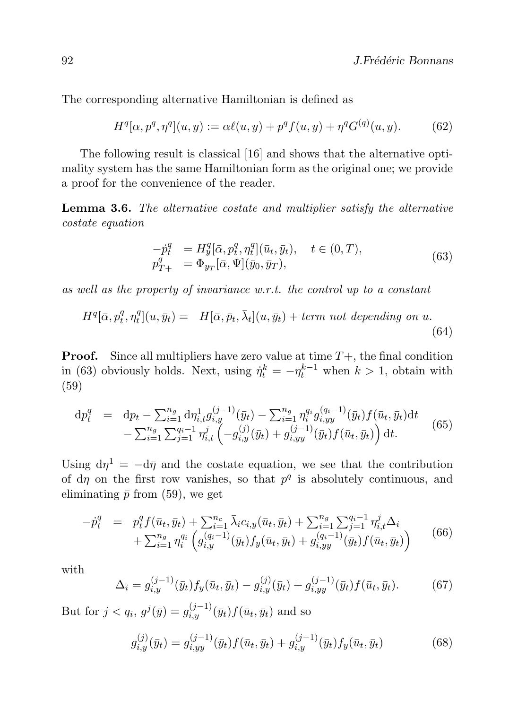The corresponding alternative Hamiltonian is defined as

$$
H^{q}[\alpha, p^{q}, \eta^{q}](u, y) := \alpha \ell(u, y) + p^{q} f(u, y) + \eta^{q} G^{(q)}(u, y).
$$
 (62)

The following result is classical [16] and shows that the alternative optimality system has the same Hamiltonian form as the original one; we provide a proof for the convenience of the reader.

Lemma 3.6. The alternative costate and multiplier satisfy the alternative costate equation

$$
\begin{aligned}\n-\dot{p}_t^q &= H_y^q[\bar{\alpha}, p_t^q, \eta_t^q](\bar{u}_t, \bar{y}_t), \quad t \in (0, T), \\
p_{T+}^q &= \Phi_{y_T}[\bar{\alpha}, \Psi](\bar{y}_0, \bar{y}_T),\n\end{aligned} \tag{63}
$$

as well as the property of invariance w.r.t. the control up to a constant

$$
H^{q}[\bar{\alpha}, p_{t}^{q}, \eta_{t}^{q}](u, \bar{y}_{t}) = H[\bar{\alpha}, \bar{p}_{t}, \bar{\lambda}_{t}](u, \bar{y}_{t}) + term \text{ not depending on } u.
$$
\n(64)

**Proof.** Since all multipliers have zero value at time  $T+$ , the final condition in (63) obviously holds. Next, using  $\dot{\eta}_t^k = -\eta_t^{k-1}$  when  $k > 1$ , obtain with (59)

$$
\begin{array}{rcl}\ndp_t^q &=& \mathrm{d}p_t - \sum_{i=1}^{n_g} \mathrm{d}\eta_{i,t}^1 g_{i,y}^{(j-1)}(\bar{y}_t) - \sum_{i=1}^{n_g} \eta_i^{q_i} g_{i,yy}^{(q_i-1)}(\bar{y}_t) f(\bar{u}_t, \bar{y}_t) \mathrm{d}t \\
&- \sum_{i=1}^{n_g} \sum_{j=1}^{q_i-1} \eta_{i,t}^j \left( -g_{i,y}^{(j)}(\bar{y}_t) + g_{i,yy}^{(j-1)}(\bar{y}_t) f(\bar{u}_t, \bar{y}_t) \right) \mathrm{d}t.\n\end{array} \tag{65}
$$

Using  $d\eta^1 = -d\bar{\eta}$  and the costate equation, we see that the contribution of d $\eta$  on the first row vanishes, so that  $p^q$  is absolutely continuous, and eliminating  $\bar{p}$  from (59), we get

$$
- \dot{p}_t^q = p_t^q f(\bar{u}_t, \bar{y}_t) + \sum_{i=1}^{n_c} \bar{\lambda}_i c_{i,y}(\bar{u}_t, \bar{y}_t) + \sum_{i=1}^{n_g} \sum_{j=1}^{q_i - 1} \eta_{i,t}^j \Delta_i + \sum_{i=1}^{n_g} \eta_i^{q_i} \left( g_{i,y}^{(q_i - 1)}(\bar{y}_t) f_y(\bar{u}_t, \bar{y}_t) + g_{i,yy}^{(q_i - 1)}(\bar{y}_t) f(\bar{u}_t, \bar{y}_t) \right)
$$
(66)

with

$$
\Delta_i = g_{i,y}^{(j-1)}(\bar{y}_t) f_y(\bar{u}_t, \bar{y}_t) - g_{i,y}^{(j)}(\bar{y}_t) + g_{i,yy}^{(j-1)}(\bar{y}_t) f(\bar{u}_t, \bar{y}_t).
$$
(67)

But for  $j < q_i$ ,  $g^j(\bar{y}) = g_{i,y}^{(j-1)}(\bar{y}_t) f(\bar{u}_t, \bar{y}_t)$  and so

$$
g_{i,y}^{(j)}(\bar{y}_t) = g_{i,yy}^{(j-1)}(\bar{y}_t) f(\bar{u}_t, \bar{y}_t) + g_{i,y}^{(j-1)}(\bar{y}_t) f_y(\bar{u}_t, \bar{y}_t)
$$
(68)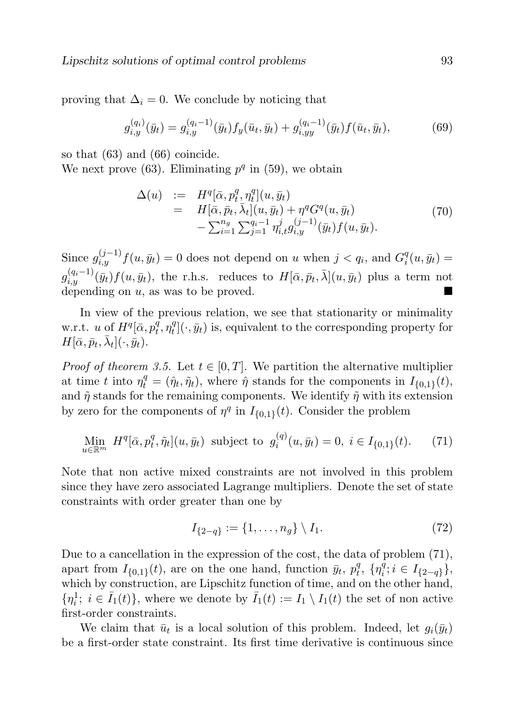proving that  $\Delta_i = 0$ . We conclude by noticing that

$$
g_{i,y}^{(q_i)}(\bar{y}_t) = g_{i,y}^{(q_i-1)}(\bar{y}_t) f_y(\bar{u}_t, \bar{y}_t) + g_{i,yy}^{(q_i-1)}(\bar{y}_t) f(\bar{u}_t, \bar{y}_t),
$$
(69)

so that (63) and (66) coincide.

We next prove (63). Eliminating  $p<sup>q</sup>$  in (59), we obtain

$$
\Delta(u) := H^{q}[\bar{\alpha}, p_{t}^{q}, \eta_{t}^{q}](u, \bar{y}_{t}) \n= H[\bar{\alpha}, \bar{p}_{t}, \bar{\lambda}_{t}](u, \bar{y}_{t}) + \eta^{q} G^{q}(u, \bar{y}_{t}) \n- \sum_{i=1}^{n_{g}} \sum_{j=1}^{q_{i}-1} \eta_{i,t}^{j} g_{i,y}^{(j-1)}(\bar{y}_{t}) f(u, \bar{y}_{t}).
$$
\n(70)

Since  $g_{i,y}^{(j-1)} f(u, \bar{y}_t) = 0$  does not depend on u when  $j < q_i$ , and  $G_i^q$  $i<sup>q</sup>(u, \bar{y}_t) =$  $g_{i,y}^{(q_i-1)}(\bar{y}_t)f(u,\bar{y}_t)$ , the r.h.s. reduces to  $H[\bar{\alpha},\bar{p}_t,\bar{\lambda}](u,\bar{y}_t)$  plus a term not depending on u, as was to be proved.

In view of the previous relation, we see that stationarity or minimality w.r.t. u of  $H^q[\bar{\alpha}, p_t^{\overline{q}}]$  $q\overline{t},\eta_t^q$  $t^q_t$ [ $\cdot$ ,  $\bar{y}_t$ ) is, equivalent to the corresponding property for  $H[\bar{\alpha}, \bar{p}_t, \bar{\lambda}_t](\cdot, \bar{y}_t).$ 

*Proof of theorem 3.5.* Let  $t \in [0, T]$ . We partition the alternative multiplier at time t into  $\eta_t^q = (\hat{\eta}_t, \tilde{\eta}_t)$ , where  $\hat{\eta}$  stands for the components in  $I_{\{0,1\}}(t)$ , and  $\tilde{\eta}$  stands for the remaining components. We identify  $\tilde{\eta}$  with its extension by zero for the components of  $\eta^q$  in  $I_{\{0,1\}}(t)$ . Consider the problem

$$
\lim_{u \in \mathbb{R}^m} H^q[\bar{\alpha}, p_t^q, \tilde{\eta}_t](u, \bar{y}_t) \text{ subject to } g_i^{(q)}(u, \bar{y}_t) = 0, i \in I_{\{0, 1\}}(t). \tag{71}
$$

Note that non active mixed constraints are not involved in this problem since they have zero associated Lagrange multipliers. Denote the set of state constraints with order greater than one by

$$
I_{\{2-q\}} := \{1, \dots, n_g\} \setminus I_1. \tag{72}
$$

Due to a cancellation in the expression of the cost, the data of problem (71), apart from  $I_{\{0,1\}}(t)$ , are on the one hand, function  $\bar{y}_t$ ,  $p_t^q$  $\eta^q_t,~\{\eta^{\bar q}_i$  $a_i^q$ ;  $i \in I_{\{2-q\}}\},\$ which by construction, are Lipschitz function of time, and on the other hand,  $\{\eta_i^1; i \in \bar{I}_1(t)\}\$ , where we denote by  $\bar{I}_1(t) := I_1 \setminus I_1(t)$  the set of non active first-order constraints.

We claim that  $\bar{u}_t$  is a local solution of this problem. Indeed, let  $g_i(\bar{y}_t)$ be a first-order state constraint. Its first time derivative is continuous since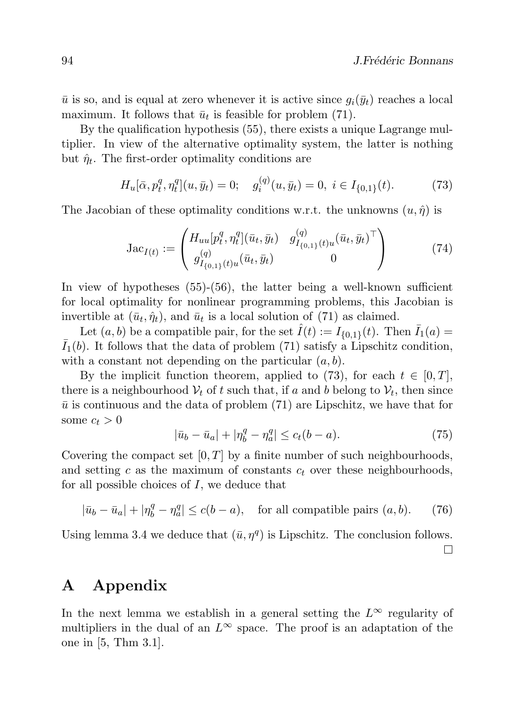$\bar{u}$  is so, and is equal at zero whenever it is active since  $g_i(\bar{y}_t)$  reaches a local maximum. It follows that  $\bar{u}_t$  is feasible for problem (71).

By the qualification hypothesis (55), there exists a unique Lagrange multiplier. In view of the alternative optimality system, the latter is nothing but  $\hat{\eta}_t$ . The first-order optimality conditions are

$$
H_u[\bar{\alpha}, p_t^q, \eta_t^q](u, \bar{y}_t) = 0; \quad g_i^{(q)}(u, \bar{y}_t) = 0, \ i \in I_{\{0,1\}}(t). \tag{73}
$$

The Jacobian of these optimality conditions w.r.t. the unknowns  $(u, \hat{\eta})$  is

$$
Jac_{I(t)} := \begin{pmatrix} H_{uu}[p_t^q, \eta_t^q](\bar{u}_t, \bar{y}_t) & g_{I_{\{0,1\}}(t)u}^{(q)}(\bar{u}_t, \bar{y}_t) \\ g_{I_{\{0,1\}}(t)u}^{(q)}(\bar{u}_t, \bar{y}_t) & 0 \end{pmatrix}
$$
(74)

In view of hypotheses (55)-(56), the latter being a well-known sufficient for local optimality for nonlinear programming problems, this Jacobian is invertible at  $(\bar{u}_t, \hat{\eta}_t)$ , and  $\bar{u}_t$  is a local solution of (71) as claimed.

Let  $(a, b)$  be a compatible pair, for the set  $\hat{I}(t) := I_{\{0,1\}}(t)$ . Then  $\bar{I}_1(a) =$  $\bar{I}_1(b)$ . It follows that the data of problem (71) satisfy a Lipschitz condition, with a constant not depending on the particular  $(a, b)$ .

By the implicit function theorem, applied to (73), for each  $t \in [0, T]$ , there is a neighbourhood  $V_t$  of t such that, if a and b belong to  $V_t$ , then since  $\bar{u}$  is continuous and the data of problem (71) are Lipschitz, we have that for some  $c_t > 0$ 

$$
|\bar{u}_b - \bar{u}_a| + |\eta_b^q - \eta_a^q| \le c_t(b - a).
$$
 (75)

Covering the compact set  $[0, T]$  by a finite number of such neighbourhoods, and setting c as the maximum of constants  $c_t$  over these neighbourhoods, for all possible choices of I, we deduce that

$$
|\bar{u}_b - \bar{u}_a| + |\eta_b^q - \eta_a^q| \le c(b - a), \quad \text{for all compatible pairs } (a, b). \tag{76}
$$

Using lemma 3.4 we deduce that  $(\bar{u}, \eta^q)$  is Lipschitz. The conclusion follows.

 $\Box$ 

# A Appendix

In the next lemma we establish in a general setting the  $L^{\infty}$  regularity of multipliers in the dual of an  $L^{\infty}$  space. The proof is an adaptation of the one in [5, Thm 3.1].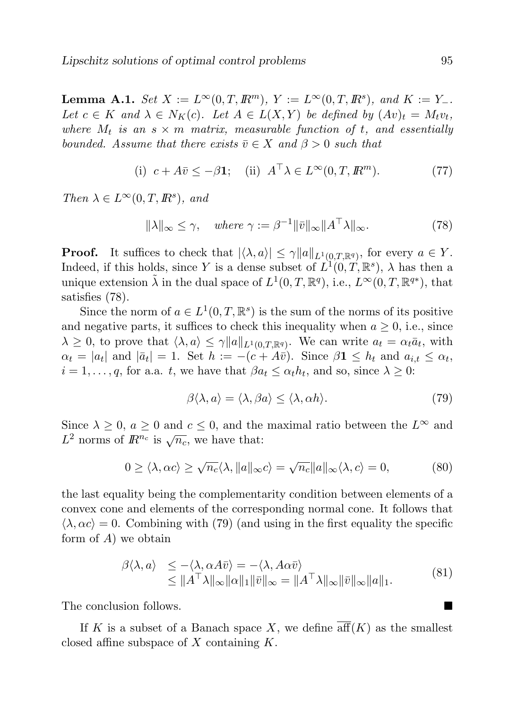**Lemma A.1.** Set  $X := L^{\infty}(0,T,\mathbb{R}^m)$ ,  $Y := L^{\infty}(0,T,\mathbb{R}^s)$ , and  $K := Y_-$ . Let  $c \in K$  and  $\lambda \in N_K(c)$ . Let  $A \in L(X,Y)$  be defined by  $(Av)_t = M_t v_t$ , where  $M_t$  is an  $s \times m$  matrix, measurable function of t, and essentially bounded. Assume that there exists  $\bar{v} \in X$  and  $\beta > 0$  such that

(i) 
$$
c + A\overline{v} \le -\beta 1
$$
; (ii)  $A^{\top} \lambda \in L^{\infty}(0, T, \mathbb{R}^m)$ . (77)

Then  $\lambda \in L^{\infty}(0,T,\mathbb{R}^s)$ , and

$$
\|\lambda\|_{\infty} \le \gamma, \quad where \ \gamma := \beta^{-1} \|\bar{v}\|_{\infty} \|A^{\top}\lambda\|_{\infty}.
$$
 (78)

**Proof.** It suffices to check that  $|\langle \lambda, a \rangle| \leq \gamma ||a||_{L^1(0,T,\mathbb{R}^q)}$ , for every  $a \in Y$ . Indeed, if this holds, since Y is a dense subset of  $L^1(0,T,\mathbb{R}^s)$ ,  $\lambda$  has then a unique extension  $\tilde{\lambda}$  in the dual space of  $L^1(0,T,\mathbb{R}^q)$ , i.e.,  $L^{\infty}(0,T,\mathbb{R}^{q*})$ , that satisfies (78).

Since the norm of  $a \in L^1(0,T,\mathbb{R}^s)$  is the sum of the norms of its positive and negative parts, it suffices to check this inequality when  $a \geq 0$ , i.e., since  $\lambda \geq 0$ , to prove that  $\langle \lambda, a \rangle \leq \gamma ||a||_{L^1(0,T,\mathbb{R}^q)}$ . We can write  $a_t = \alpha_t \bar{a}_t$ , with  $\alpha_t = |a_t|$  and  $|\bar{a}_t| = 1$ . Set  $h := -(c + A\bar{v})$ . Since  $\beta \mathbf{1} \leq h_t$  and  $a_{i,t} \leq \alpha_t$ ,  $i = 1, \ldots, q$ , for a.a. t, we have that  $\beta a_t \leq \alpha_t h_t$ , and so, since  $\lambda \geq 0$ :

$$
\beta \langle \lambda, a \rangle = \langle \lambda, \beta a \rangle \le \langle \lambda, \alpha h \rangle. \tag{79}
$$

Since  $\lambda \geq 0$ ,  $a \geq 0$  and  $c \leq 0$ , and the maximal ratio between the  $L^{\infty}$  and  $L^2$  norms of  $\mathbb{R}^{n_c}$  is  $\sqrt{n_c}$ , we have that:

$$
0 \ge \langle \lambda, \alpha c \rangle \ge \sqrt{n_c} \langle \lambda, \|a\|_{\infty} c \rangle = \sqrt{n_c} \|a\|_{\infty} \langle \lambda, c \rangle = 0,
$$
 (80)

the last equality being the complementarity condition between elements of a convex cone and elements of the corresponding normal cone. It follows that  $\langle \lambda, \alpha c \rangle = 0$ . Combining with (79) (and using in the first equality the specific form of  $A$ ) we obtain

$$
\begin{array}{ll}\n\beta \langle \lambda, a \rangle & \leq -\langle \lambda, \alpha A \bar{v} \rangle = -\langle \lambda, A \alpha \bar{v} \rangle \\
& \leq \| A^\top \lambda \|_{\infty} \| \alpha \|_{1} \| \bar{v} \|_{\infty} = \| A^\top \lambda \|_{\infty} \| \bar{v} \|_{\infty} \| a \|_{1}.\n\end{array} \tag{81}
$$

The conclusion follows.

If K is a subset of a Banach space X, we define  $\overline{\text{aff}}(K)$  as the smallest closed affine subspace of  $X$  containing  $K$ .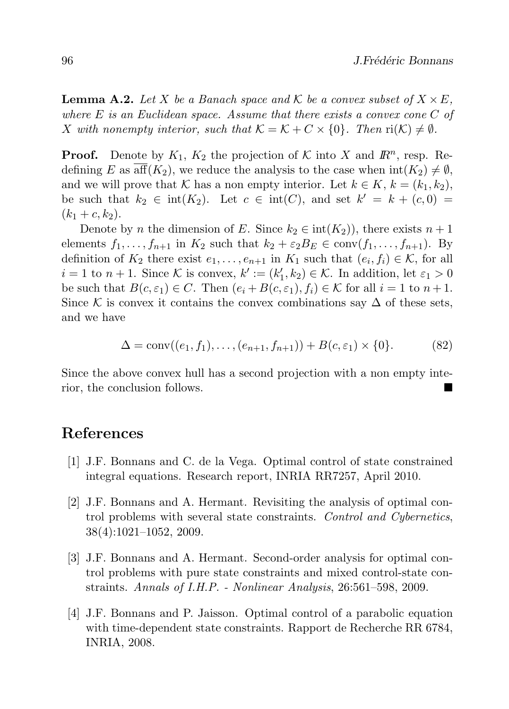**Lemma A.2.** Let X be a Banach space and K be a convex subset of  $X \times E$ , where  $E$  is an Euclidean space. Assume that there exists a convex cone  $C$  of X with nonempty interior, such that  $\mathcal{K} = \mathcal{K} + C \times \{0\}$ . Then  $ri(\mathcal{K}) \neq \emptyset$ .

**Proof.** Denote by  $K_1$ ,  $K_2$  the projection of  $K$  into X and  $\mathbb{R}^n$ , resp. Redefining E as aff $(K_2)$ , we reduce the analysis to the case when  $int(K_2) \neq \emptyset$ , and we will prove that K has a non empty interior. Let  $k \in K$ ,  $k = (k_1, k_2)$ , be such that  $k_2 \in \text{int}(K_2)$ . Let  $c \in \text{int}(C)$ , and set  $k' = k + (c, 0) =$  $(k_1 + c, k_2).$ 

Denote by *n* the dimension of E. Since  $k_2 \in \text{int}(K_2)$ , there exists  $n+1$ elements  $f_1, \ldots, f_{n+1}$  in  $K_2$  such that  $k_2 + \varepsilon_2 B_E \in \text{conv}(f_1, \ldots, f_{n+1})$ . By definition of  $K_2$  there exist  $e_1, \ldots, e_{n+1}$  in  $K_1$  such that  $(e_i, f_i) \in \mathcal{K}$ , for all  $i = 1$  to  $n + 1$ . Since K is convex,  $k' := (k'_1, k_2) \in \mathcal{K}$ . In addition, let  $\varepsilon_1 > 0$ be such that  $B(c, \varepsilon_1) \in C$ . Then  $(e_i + B(c, \varepsilon_1), f_i) \in K$  for all  $i = 1$  to  $n + 1$ . Since K is convex it contains the convex combinations say  $\Delta$  of these sets, and we have

$$
\Delta = \text{conv}((e_1, f_1), \dots, (e_{n+1}, f_{n+1})) + B(c, \varepsilon_1) \times \{0\}. \tag{82}
$$

Since the above convex hull has a second projection with a non empty interior, the conclusion follows.

## References

- [1] J.F. Bonnans and C. de la Vega. Optimal control of state constrained integral equations. Research report, INRIA RR7257, April 2010.
- [2] J.F. Bonnans and A. Hermant. Revisiting the analysis of optimal control problems with several state constraints. Control and Cybernetics, 38(4):1021–1052, 2009.
- [3] J.F. Bonnans and A. Hermant. Second-order analysis for optimal control problems with pure state constraints and mixed control-state constraints. Annals of I.H.P. - Nonlinear Analysis, 26:561–598, 2009.
- [4] J.F. Bonnans and P. Jaisson. Optimal control of a parabolic equation with time-dependent state constraints. Rapport de Recherche RR 6784, INRIA, 2008.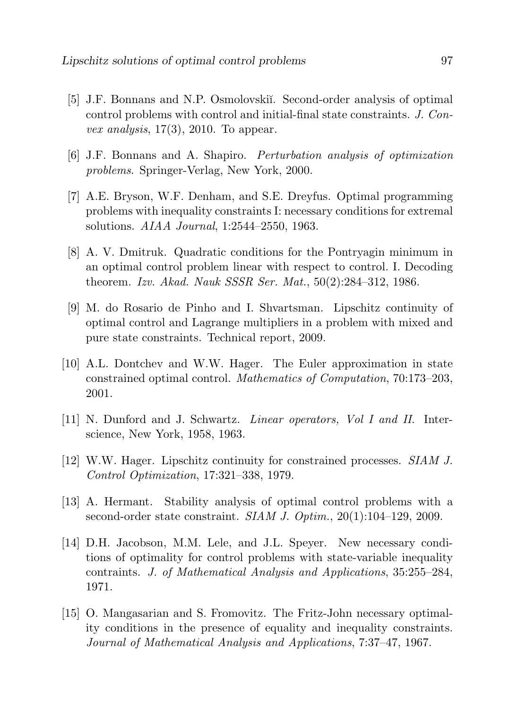- [5] J.F. Bonnans and N.P. Osmolovskiı̆. Second-order analysis of optimal control problems with control and initial-final state constraints. J. Con*vex analysis*,  $17(3)$ ,  $2010$ . To appear.
- [6] J.F. Bonnans and A. Shapiro. Perturbation analysis of optimization problems. Springer-Verlag, New York, 2000.
- [7] A.E. Bryson, W.F. Denham, and S.E. Dreyfus. Optimal programming problems with inequality constraints I: necessary conditions for extremal solutions. AIAA Journal, 1:2544–2550, 1963.
- [8] A. V. Dmitruk. Quadratic conditions for the Pontryagin minimum in an optimal control problem linear with respect to control. I. Decoding theorem. Izv. Akad. Nauk SSSR Ser. Mat., 50(2):284–312, 1986.
- [9] M. do Rosario de Pinho and I. Shvartsman. Lipschitz continuity of optimal control and Lagrange multipliers in a problem with mixed and pure state constraints. Technical report, 2009.
- [10] A.L. Dontchev and W.W. Hager. The Euler approximation in state constrained optimal control. Mathematics of Computation, 70:173–203, 2001.
- [11] N. Dunford and J. Schwartz. *Linear operators, Vol I and II.* Interscience, New York, 1958, 1963.
- [12] W.W. Hager. Lipschitz continuity for constrained processes. SIAM J. Control Optimization, 17:321–338, 1979.
- [13] A. Hermant. Stability analysis of optimal control problems with a second-order state constraint. *SIAM J. Optim.*, 20(1):104–129, 2009.
- [14] D.H. Jacobson, M.M. Lele, and J.L. Speyer. New necessary conditions of optimality for control problems with state-variable inequality contraints. J. of Mathematical Analysis and Applications, 35:255–284, 1971.
- [15] O. Mangasarian and S. Fromovitz. The Fritz-John necessary optimality conditions in the presence of equality and inequality constraints. Journal of Mathematical Analysis and Applications, 7:37–47, 1967.